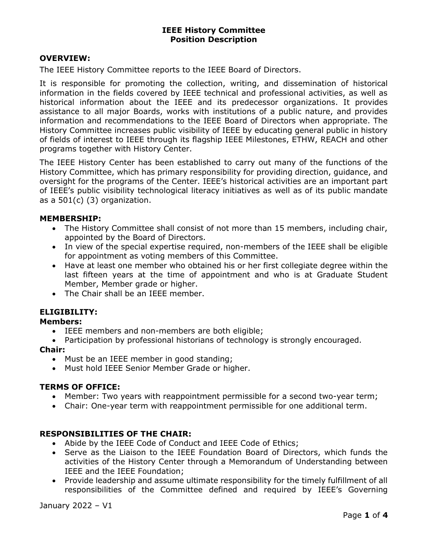### OVERVIEW:

The IEEE History Committee reports to the IEEE Board of Directors.

It is responsible for promoting the collection, writing, and dissemination of historical information in the fields covered by IEEE technical and professional activities, as well as historical information about the IEEE and its predecessor organizations. It provides assistance to all major Boards, works with institutions of a public nature, and provides information and recommendations to the IEEE Board of Directors when appropriate. The History Committee increases public visibility of IEEE by educating general public in history of fields of interest to IEEE through its flagship IEEE Milestones, ETHW, REACH and other programs together with History Center.

The IEEE History Center has been established to carry out many of the functions of the History Committee, which has primary responsibility for providing direction, guidance, and oversight for the programs of the Center. IEEE's historical activities are an important part of IEEE's public visibility technological literacy initiatives as well as of its public mandate as a 501(c) (3) organization.

#### MEMBERSHIP:

- The History Committee shall consist of not more than 15 members, including chair, appointed by the Board of Directors.
- In view of the special expertise required, non-members of the IEEE shall be eligible for appointment as voting members of this Committee.
- Have at least one member who obtained his or her first collegiate degree within the last fifteen years at the time of appointment and who is at Graduate Student Member, Member grade or higher.
- The Chair shall be an IEEE member.

# ELIGIBILITY:

### Members:

- IEEE members and non-members are both eligible;
- Participation by professional historians of technology is strongly encouraged.

#### Chair:

- Must be an IEEE member in good standing;
- Must hold IEEE Senior Member Grade or higher.

### TERMS OF OFFICE:

- Member: Two years with reappointment permissible for a second two-year term;
- Chair: One-year term with reappointment permissible for one additional term.

### RESPONSIBILITIES OF THE CHAIR:

- Abide by the IEEE Code of Conduct and IEEE Code of Ethics;
- Serve as the Liaison to the IEEE Foundation Board of Directors, which funds the activities of the History Center through a Memorandum of Understanding between IEEE and the IEEE Foundation;
- Provide leadership and assume ultimate responsibility for the timely fulfillment of all responsibilities of the Committee defined and required by IEEE's Governing

January 2022 – V1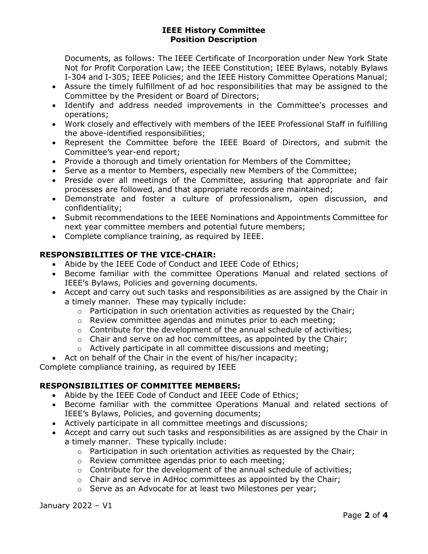Documents, as follows: The IEEE Certificate of Incorporation under New York State Not for Profit Corporation Law; the IEEE Constitution; IEEE Bylaws, notably Bylaws I-304 and I-305; IEEE Policies; and the IEEE History Committee Operations Manual;

- Assure the timely fulfillment of ad hoc responsibilities that may be assigned to the Committee by the President or Board of Directors;
- Identify and address needed improvements in the Committee's processes and operations;
- Work closely and effectively with members of the IEEE Professional Staff in fulfilling the above-identified responsibilities;
- Represent the Committee before the IEEE Board of Directors, and submit the Committee's year-end report;
- Provide a thorough and timely orientation for Members of the Committee;
- Serve as a mentor to Members, especially new Members of the Committee;
- Preside over all meetings of the Committee, assuring that appropriate and fair processes are followed, and that appropriate records are maintained;
- Demonstrate and foster a culture of professionalism, open discussion, and confidentiality;
- Submit recommendations to the IEEE Nominations and Appointments Committee for next year committee members and potential future members;
- Complete compliance training, as required by IEEE.

# RESPONSIBILITIES OF THE VICE-CHAIR:

- Abide by the IEEE Code of Conduct and IEEE Code of Ethics;
- Become familiar with the committee Operations Manual and related sections of IEEE's Bylaws, Policies and governing documents.
- Accept and carry out such tasks and responsibilities as are assigned by the Chair in a timely manner. These may typically include:
	- $\circ$  Participation in such orientation activities as requested by the Chair;
	- o Review committee agendas and minutes prior to each meeting;
	- $\circ$  Contribute for the development of the annual schedule of activities;
	- $\circ$  Chair and serve on ad hoc committees, as appointed by the Chair;
	- o Actively participate in all committee discussions and meeting;

Act on behalf of the Chair in the event of his/her incapacity;

Complete compliance training, as required by IEEE

# RESPONSIBILITIES OF COMMITTEE MEMBERS:

- Abide by the IEEE Code of Conduct and IEEE Code of Ethics;
- Become familiar with the committee Operations Manual and related sections of IEEE's Bylaws, Policies, and governing documents;
- Actively participate in all committee meetings and discussions;
- Accept and carry out such tasks and responsibilities as are assigned by the Chair in a timely manner. These typically include:
	- $\circ$  Participation in such orientation activities as requested by the Chair;
	- o Review committee agendas prior to each meeting;
	- o Contribute for the development of the annual schedule of activities;
	- $\circ$  Chair and serve in AdHoc committees as appointed by the Chair;
	- o Serve as an Advocate for at least two Milestones per year;

January 2022 – V1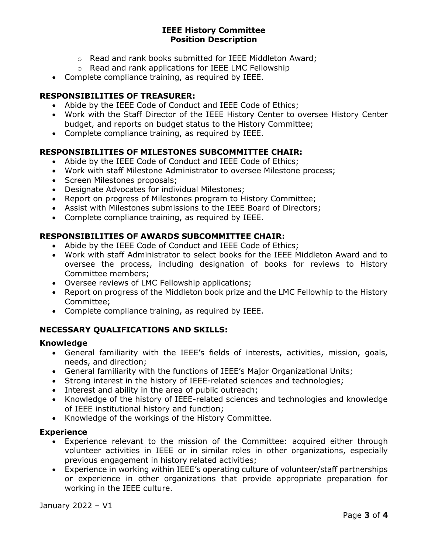- o Read and rank books submitted for IEEE Middleton Award;
- o Read and rank applications for IEEE LMC Fellowship
- Complete compliance training, as required by IEEE.

## RESPONSIBILITIES OF TREASURER:

- Abide by the IEEE Code of Conduct and IEEE Code of Ethics;
- Work with the Staff Director of the IEEE History Center to oversee History Center budget, and reports on budget status to the History Committee;
- Complete compliance training, as required by IEEE.

## RESPONSIBILITIES OF MILESTONES SUBCOMMITTEE CHAIR:

- Abide by the IEEE Code of Conduct and IEEE Code of Ethics;
- Work with staff Milestone Administrator to oversee Milestone process;
- Screen Milestones proposals;
- Designate Advocates for individual Milestones;
- Report on progress of Milestones program to History Committee;
- Assist with Milestones submissions to the IEEE Board of Directors;
- Complete compliance training, as required by IEEE.

### RESPONSIBILITIES OF AWARDS SUBCOMMITTEE CHAIR:

- Abide by the IEEE Code of Conduct and IEEE Code of Ethics;
- Work with staff Administrator to select books for the IEEE Middleton Award and to oversee the process, including designation of books for reviews to History Committee members;
- Oversee reviews of LMC Fellowship applications;
- Report on progress of the Middleton book prize and the LMC Fellowhip to the History Committee;
- Complete compliance training, as required by IEEE.

# NECESSARY QUALIFICATIONS AND SKILLS:

#### Knowledge

- General familiarity with the IEEE's fields of interests, activities, mission, goals, needs, and direction;
- General familiarity with the functions of IEEE's Major Organizational Units;
- Strong interest in the history of IEEE-related sciences and technologies;
- Interest and ability in the area of public outreach;
- Knowledge of the history of IEEE-related sciences and technologies and knowledge of IEEE institutional history and function;
- Knowledge of the workings of the History Committee.

### **Experience**

- Experience relevant to the mission of the Committee: acquired either through volunteer activities in IEEE or in similar roles in other organizations, especially previous engagement in history related activities;
- Experience in working within IEEE's operating culture of volunteer/staff partnerships or experience in other organizations that provide appropriate preparation for working in the IEEE culture.